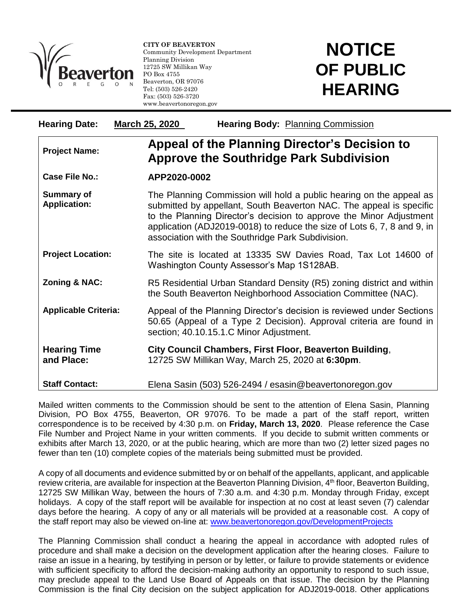

l

**CITY OF BEAVERTON** Community Development Department Planning Division 12725 SW Millikan Way PO Box 4755 Beaverton, OR 97076 Tel: (503) 526-2420 Fax: (503) 526-3720 www.beavertonoregon.gov

## **NOTICE OF PUBLIC HEARING**

| <b>Hearing Date:</b>                     | March 25, 2020 | Hearing Body: Planning Commission                                                                                                                                                                                                                                                                                                                 |  |
|------------------------------------------|----------------|---------------------------------------------------------------------------------------------------------------------------------------------------------------------------------------------------------------------------------------------------------------------------------------------------------------------------------------------------|--|
| <b>Project Name:</b>                     |                | Appeal of the Planning Director's Decision to<br><b>Approve the Southridge Park Subdivision</b>                                                                                                                                                                                                                                                   |  |
| <b>Case File No.:</b>                    | APP2020-0002   |                                                                                                                                                                                                                                                                                                                                                   |  |
| <b>Summary of</b><br><b>Application:</b> |                | The Planning Commission will hold a public hearing on the appeal as<br>submitted by appellant, South Beaverton NAC. The appeal is specific<br>to the Planning Director's decision to approve the Minor Adjustment<br>application (ADJ2019-0018) to reduce the size of Lots 6, 7, 8 and 9, in<br>association with the Southridge Park Subdivision. |  |
| <b>Project Location:</b>                 |                | The site is located at 13335 SW Davies Road, Tax Lot 14600 of<br>Washington County Assessor's Map 1S128AB.                                                                                                                                                                                                                                        |  |
| Zoning & NAC:                            |                | R5 Residential Urban Standard Density (R5) zoning district and within<br>the South Beaverton Neighborhood Association Committee (NAC).                                                                                                                                                                                                            |  |
| <b>Applicable Criteria:</b>              |                | Appeal of the Planning Director's decision is reviewed under Sections<br>50.65 (Appeal of a Type 2 Decision). Approval criteria are found in<br>section; 40.10.15.1.C Minor Adjustment.                                                                                                                                                           |  |
| <b>Hearing Time</b><br>and Place:        |                | City Council Chambers, First Floor, Beaverton Building,<br>12725 SW Millikan Way, March 25, 2020 at 6:30pm.                                                                                                                                                                                                                                       |  |
| <b>Staff Contact:</b>                    |                | Elena Sasin (503) 526-2494 / esasin@beavertonoregon.gov                                                                                                                                                                                                                                                                                           |  |

Mailed written comments to the Commission should be sent to the attention of Elena Sasin, Planning Division, PO Box 4755, Beaverton, OR 97076. To be made a part of the staff report, written correspondence is to be received by 4:30 p.m. on **Friday, March 13, 2020**. Please reference the Case File Number and Project Name in your written comments. If you decide to submit written comments or exhibits after March 13, 2020, or at the public hearing, which are more than two (2) letter sized pages no fewer than ten (10) complete copies of the materials being submitted must be provided.

A copy of all documents and evidence submitted by or on behalf of the appellants, applicant, and applicable review criteria, are available for inspection at the Beaverton Planning Division, 4<sup>th</sup> floor, Beaverton Building, 12725 SW Millikan Way, between the hours of 7:30 a.m. and 4:30 p.m. Monday through Friday, except holidays. A copy of the staff report will be available for inspection at no cost at least seven (7) calendar days before the hearing. A copy of any or all materials will be provided at a reasonable cost. A copy of the staff report may also be viewed on-line at: [www.beavertonoregon.gov/DevelopmentProjects](http://www.beavertonoregon.gov/DevelopmentProjects)

The Planning Commission shall conduct a hearing the appeal in accordance with adopted rules of procedure and shall make a decision on the development application after the hearing closes. Failure to raise an issue in a hearing, by testifying in person or by letter, or failure to provide statements or evidence with sufficient specificity to afford the decision-making authority an opportunity to respond to such issue, may preclude appeal to the Land Use Board of Appeals on that issue. The decision by the Planning Commission is the final City decision on the subject application for ADJ2019-0018. Other applications